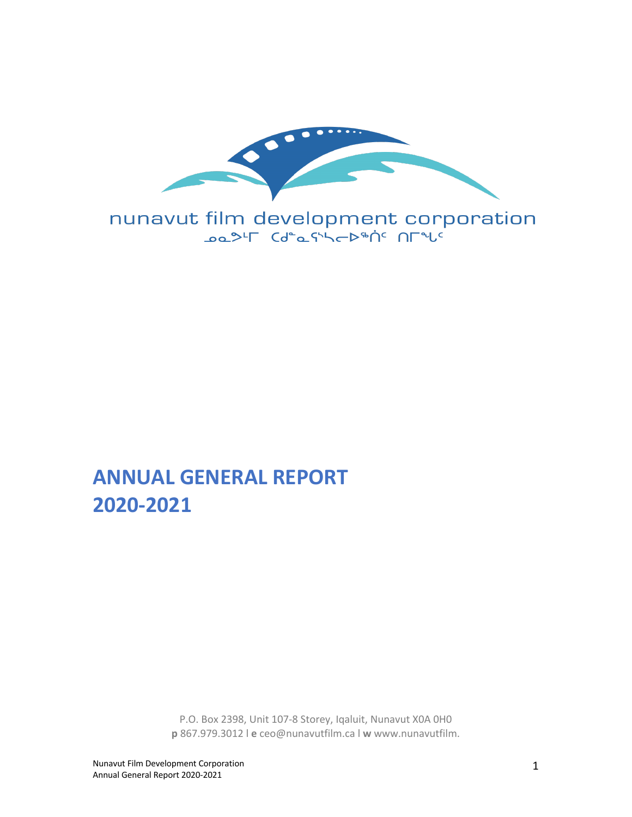

nunavut film development corporation

# **ANNUAL GENERAL REPORT 2020-2021**

P.O. Box 2398, Unit 107-8 Storey, Iqaluit, Nunavut X0A 0H0 **p** 867.979.3012 l **e** ceo@nunavutfilm.ca l **w** www.nunavutfilm.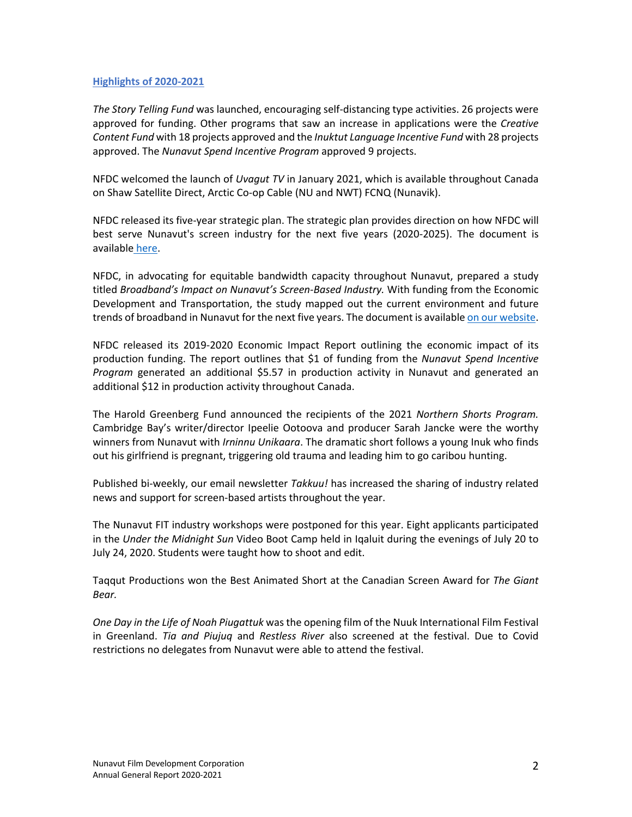## **Highlights of 2020-2021**

*The Story Telling Fund* was launched, encouraging self-distancing type activities. 26 projects were approved for funding. Other programs that saw an increase in applications were the *Creative Content Fund* with 18 projects approved and the *Inuktut Language Incentive Fund* with 28 projects approved. The *Nunavut Spend Incentive Program* approved 9 projects.

NFDC welcomed the launch of *Uvagut TV* in January 2021, which is available throughout Canada on Shaw Satellite Direct, Arctic Co-op Cable (NU and NWT) FCNQ (Nunavik).

NFDC released its five-year strategic plan. The strategic plan provides direction on how NFDC will best serve Nunavut's screen industry for the next five years (2020-2025). The document is available here.

NFDC, in advocating for equitable bandwidth capacity throughout Nunavut, prepared a study titled *Broadband's Impact on Nunavut's Screen-Based Industry.* With funding from the Economic Development and Transportation, the study mapped out the current environment and future trends of broadband in Nunavut for the next five years. The document is available on our website.

NFDC released its 2019-2020 Economic Impact Report outlining the economic impact of its production funding. The report outlines that \$1 of funding from the *Nunavut Spend Incentive Program* generated an additional \$5.57 in production activity in Nunavut and generated an additional \$12 in production activity throughout Canada.

The Harold Greenberg Fund announced the recipients of the 2021 *Northern Shorts Program.* Cambridge Bay's writer/director Ipeelie Ootoova and producer Sarah Jancke were the worthy winners from Nunavut with *Irninnu Unikaara*. The dramatic short follows a young Inuk who finds out his girlfriend is pregnant, triggering old trauma and leading him to go caribou hunting.

Published bi-weekly, our email newsletter *Takkuu!* has increased the sharing of industry related news and support for screen-based artists throughout the year.

The Nunavut FIT industry workshops were postponed for this year. Eight applicants participated in the *Under the Midnight Sun* Video Boot Camp held in Iqaluit during the evenings of July 20 to July 24, 2020. Students were taught how to shoot and edit.

Taqqut Productions won the Best Animated Short at the Canadian Screen Award for *The Giant Bear.* 

*One Day in the Life of Noah Piugattuk* was the opening film of the Nuuk International Film Festival in Greenland. *Tia and Piujuq* and *Restless River* also screened at the festival. Due to Covid restrictions no delegates from Nunavut were able to attend the festival.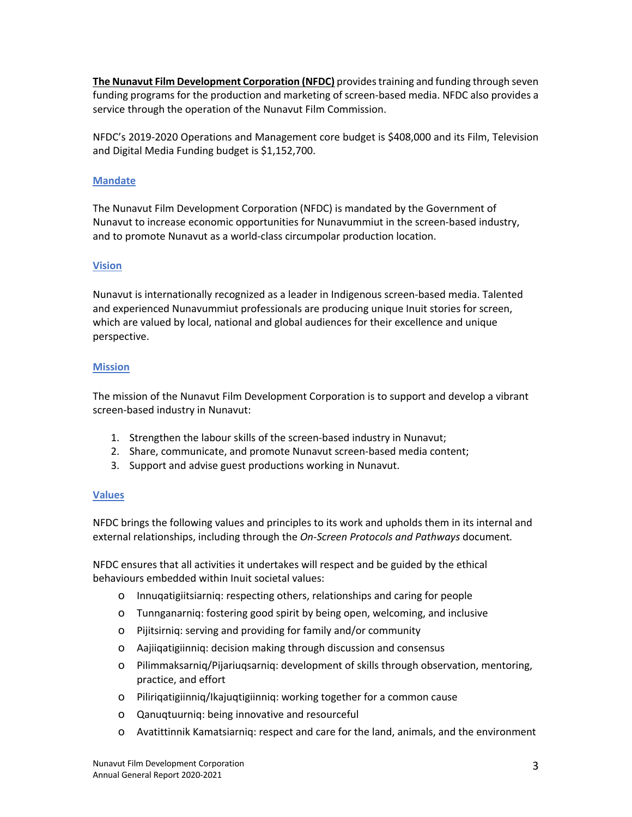**The Nunavut Film Development Corporation (NFDC)** provides training and funding through seven funding programs for the production and marketing of screen-based media. NFDC also provides a service through the operation of the Nunavut Film Commission.

NFDC's 2019-2020 Operations and Management core budget is \$408,000 and its Film, Television and Digital Media Funding budget is \$1,152,700.

## **Mandate**

The Nunavut Film Development Corporation (NFDC) is mandated by the Government of Nunavut to increase economic opportunities for Nunavummiut in the screen-based industry, and to promote Nunavut as a world-class circumpolar production location.

## **Vision**

Nunavut is internationally recognized as a leader in Indigenous screen-based media. Talented and experienced Nunavummiut professionals are producing unique Inuit stories for screen, which are valued by local, national and global audiences for their excellence and unique perspective.

## **Mission**

The mission of the Nunavut Film Development Corporation is to support and develop a vibrant screen-based industry in Nunavut:

- 1. Strengthen the labour skills of the screen-based industry in Nunavut;
- 2. Share, communicate, and promote Nunavut screen-based media content;
- 3. Support and advise guest productions working in Nunavut.

## **Values**

NFDC brings the following values and principles to its work and upholds them in its internal and external relationships, including through the *On-Screen Protocols and Pathways* document*.*

NFDC ensures that all activities it undertakes will respect and be guided by the ethical behaviours embedded within Inuit societal values:

- ! Innuqatigiitsiarniq: respecting others, relationships and caring for people
- o Tunnganarniq: fostering good spirit by being open, welcoming, and inclusive
- ! Pijitsirniq: serving and providing for family and/or community
- ! Aajiiqatigiinniq: decision making through discussion and consensus
- ! Pilimmaksarniq/Pijariuqsarniq: development of skills through observation, mentoring, practice, and effort
- ! Piliriqatigiinniq/Ikajuqtigiinniq: working together for a common cause
- o Qanuqtuurniq: being innovative and resourceful
- ! Avatittinnik Kamatsiarniq: respect and care for the land, animals, and the environment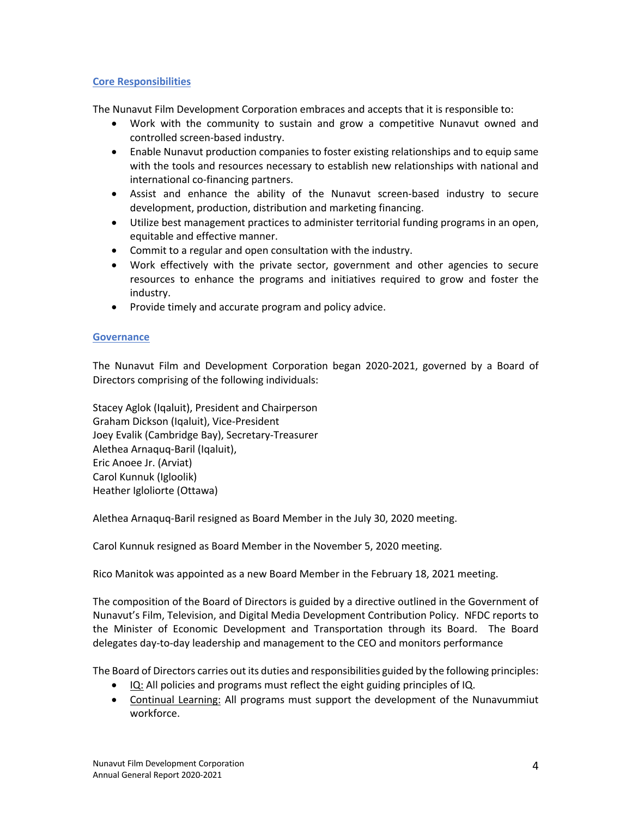## **Core Responsibilities**

The Nunavut Film Development Corporation embraces and accepts that it is responsible to:

- Work with the community to sustain and grow a competitive Nunavut owned and controlled screen-based industry.
- Enable Nunavut production companies to foster existing relationships and to equip same with the tools and resources necessary to establish new relationships with national and international co-financing partners.
- Assist and enhance the ability of the Nunavut screen-based industry to secure development, production, distribution and marketing financing.
- Utilize best management practices to administer territorial funding programs in an open, equitable and effective manner.
- Commit to a regular and open consultation with the industry.
- Work effectively with the private sector, government and other agencies to secure resources to enhance the programs and initiatives required to grow and foster the industry.
- Provide timely and accurate program and policy advice.

## **Governance**

The Nunavut Film and Development Corporation began 2020-2021, governed by a Board of Directors comprising of the following individuals:

Stacey Aglok (Iqaluit), President and Chairperson Graham Dickson (Iqaluit), Vice-President Joey Evalik (Cambridge Bay), Secretary-Treasurer Alethea Arnaquq-Baril (Iqaluit), Eric Anoee Jr. (Arviat) Carol Kunnuk (Igloolik) Heather Igloliorte (Ottawa)

Alethea Arnaquq-Baril resigned as Board Member in the July 30, 2020 meeting.

Carol Kunnuk resigned as Board Member in the November 5, 2020 meeting.

Rico Manitok was appointed as a new Board Member in the February 18, 2021 meeting.

The composition of the Board of Directors is guided by a directive outlined in the Government of Nunavut's Film, Television, and Digital Media Development Contribution Policy. NFDC reports to the Minister of Economic Development and Transportation through its Board. The Board delegates day-to-day leadership and management to the CEO and monitors performance

The Board of Directors carries out its duties and responsibilities guided by the following principles:

- IQ: All policies and programs must reflect the eight guiding principles of IQ.
- Continual Learning: All programs must support the development of the Nunavummiut workforce.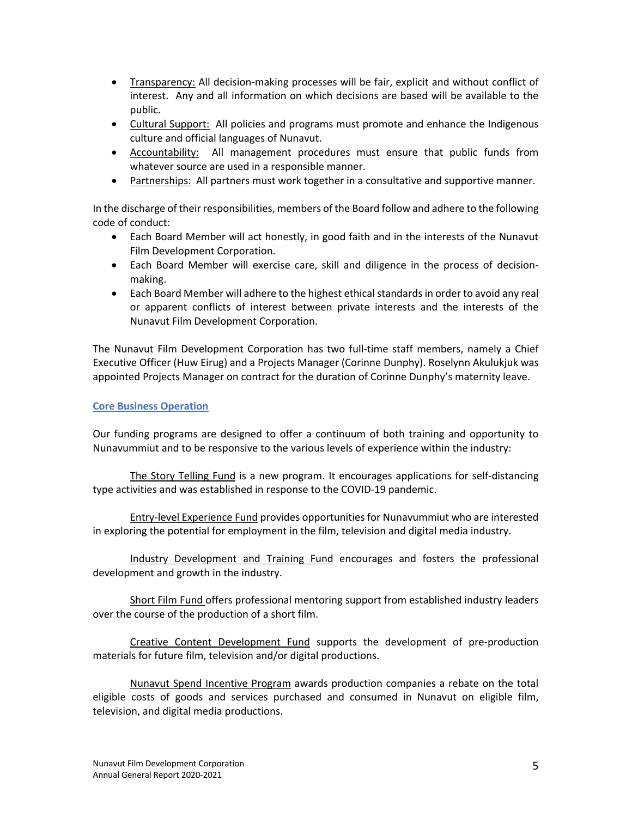- Transparency: All decision-making processes will be fair, explicit and without conflict of interest. Any and all information on which decisions are based will be available to the public.
- Cultural Support: All policies and programs must promote and enhance the Indigenous culture and official languages of Nunavut.
- Accountability: All management procedures must ensure that public funds from whatever source are used in a responsible manner.
- Partnerships: All partners must work together in a consultative and supportive manner.

In the discharge of their responsibilities, members of the Board follow and adhere to the following code of conduct:

- Each Board Member will act honestly, in good faith and in the interests of the Nunavut Film Development Corporation.
- Each Board Member will exercise care, skill and diligence in the process of decisionmaking.
- Each Board Member will adhere to the highest ethical standards in order to avoid any real or apparent conflicts of interest between private interests and the interests of the Nunavut Film Development Corporation.

The Nunavut Film Development Corporation has two full-time staff members, namely a Chief Executive Officer (Huw Eirug) and a Projects Manager (Corinne Dunphy). Roselynn Akulukjuk was appointed Projects Manager on contract for the duration of Corinne Dunphy's maternity leave.

## **Core Business Operation**

Our funding programs are designed to offer a continuum of both training and opportunity to Nunavummiut and to be responsive to the various levels of experience within the industry:

The Story Telling Fund is a new program. It encourages applications for self-distancing type activities and was established in response to the COVID-19 pandemic.

Entry-level Experience Fund provides opportunities for Nunavummiut who are interested in exploring the potential for employment in the film, television and digital media industry.

Industry Development and Training Fund encourages and fosters the professional development and growth in the industry.

Short Film Fund offers professional mentoring support from established industry leaders over the course of the production of a short film.

Creative Content Development Fund supports the development of pre-production materials for future film, television and/or digital productions.

Nunavut Spend Incentive Program awards production companies a rebate on the total eligible costs of goods and services purchased and consumed in Nunavut on eligible film, television, and digital media productions.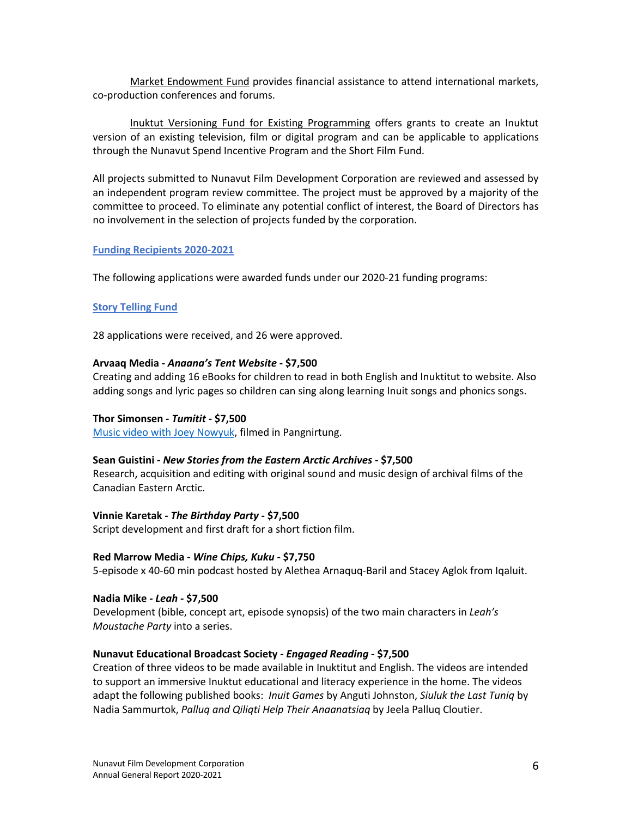Market Endowment Fund provides financial assistance to attend international markets, co-production conferences and forums.

Inuktut Versioning Fund for Existing Programming offers grants to create an Inuktut version of an existing television, film or digital program and can be applicable to applications through the Nunavut Spend Incentive Program and the Short Film Fund.

All projects submitted to Nunavut Film Development Corporation are reviewed and assessed by an independent program review committee. The project must be approved by a majority of the committee to proceed. To eliminate any potential conflict of interest, the Board of Directors has no involvement in the selection of projects funded by the corporation.

## **Funding Recipients 2020-2021**

The following applications were awarded funds under our 2020-21 funding programs:

#### **Story Telling Fund**

28 applications were received, and 26 were approved.

#### **Arvaaq Media -** *Anaana's Tent Website* **- \$7,500**

Creating and adding 16 eBooks for children to read in both English and Inuktitut to website. Also adding songs and lyric pages so children can sing along learning Inuit songs and phonics songs.

## **Thor Simonsen -** *Tumitit* **- \$7,500**

Music video with Joey Nowyuk, filmed in Pangnirtung.

## **Sean Guistini -** *New Stories from the Eastern Arctic Archives* **- \$7,500**

Research, acquisition and editing with original sound and music design of archival films of the Canadian Eastern Arctic.

#### **Vinnie Karetak -** *The Birthday Party* **- \$7,500**

Script development and first draft for a short fiction film.

#### **Red Marrow Media -** *Wine Chips, Kuku* **- \$7,750**

5-episode x 40-60 min podcast hosted by Alethea Arnaquq-Baril and Stacey Aglok from Iqaluit.

**Nadia Mike -** *Leah* **- \$7,500**

Development (bible, concept art, episode synopsis) of the two main characters in *Leah's Moustache Party* into a series.

## **Nunavut Educational Broadcast Society -** *Engaged Reading* **- \$7,500**

Creation of three videos to be made available in Inuktitut and English. The videos are intended to support an immersive Inuktut educational and literacy experience in the home. The videos adapt the following published books: *Inuit Games* by Anguti Johnston, *Siuluk the Last Tuniq* by Nadia Sammurtok, *Palluq and Qiliqti Help Their Anaanatsiaq* by Jeela Palluq Cloutier.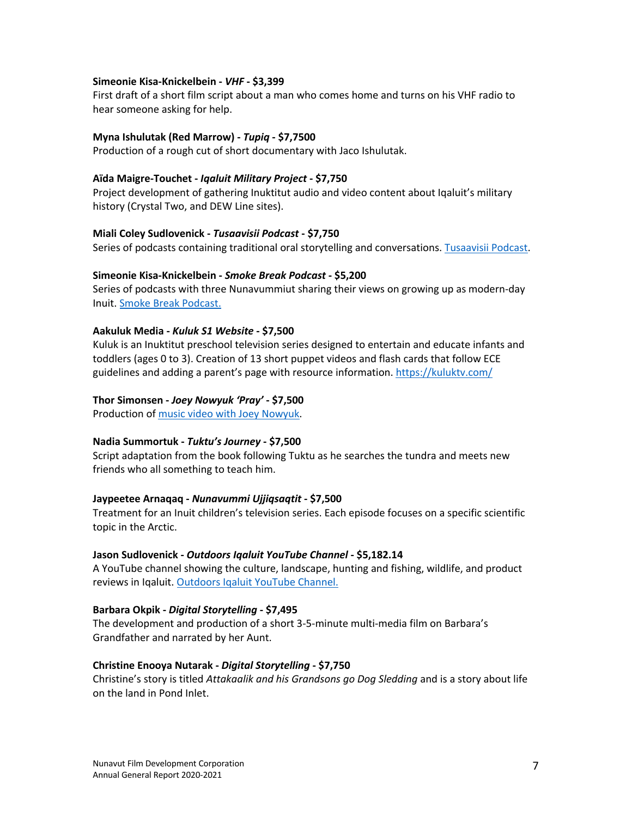#### **Simeonie Kisa-Knickelbein -** *VHF* **- \$3,399**

First draft of a short film script about a man who comes home and turns on his VHF radio to hear someone asking for help.

#### **Myna Ishulutak (Red Marrow) -** *Tupiq* **- \$7,7500**

Production of a rough cut of short documentary with Jaco Ishulutak.

#### **Aïda Maigre-Touchet -** *Iqaluit Military Project* **- \$7,750**

Project development of gathering Inuktitut audio and video content about Iqaluit's military history (Crystal Two, and DEW Line sites).

#### **Miali Coley Sudlovenick -** *Tusaavisii Podcast* **- \$7,750**

Series of podcasts containing traditional oral storytelling and conversations. Tusaavisii Podcast.

#### **Simeonie Kisa-Knickelbein -** *Smoke Break Podcast* **- \$5,200**

Series of podcasts with three Nunavummiut sharing their views on growing up as modern-day Inuit. Smoke Break Podcast.

#### **Aakuluk Media -** *Kuluk S1 Website* **- \$7,500**

Kuluk is an Inuktitut preschool television series designed to entertain and educate infants and toddlers (ages 0 to 3). Creation of 13 short puppet videos and flash cards that follow ECE guidelines and adding a parent's page with resource information. https://kuluktv.com/

#### **Thor Simonsen -** *Joey Nowyuk 'Pray'* **- \$7,500**

Production of music video with Joey Nowyuk.

#### **Nadia Summortuk -** *Tuktu's Journey* **- \$7,500**

Script adaptation from the book following Tuktu as he searches the tundra and meets new friends who all something to teach him.

## **Jaypeetee Arnaqaq -** *Nunavummi Ujjiqsaqtit* **- \$7,500**

Treatment for an Inuit children's television series. Each episode focuses on a specific scientific topic in the Arctic.

#### **Jason Sudlovenick -** *Outdoors Iqaluit YouTube Channel* **- \$5,182.14**

A YouTube channel showing the culture, landscape, hunting and fishing, wildlife, and product reviews in Iqaluit. Outdoors Iqaluit YouTube Channel.

#### **Barbara Okpik -** *Digital Storytelling* **- \$7,495**

The development and production of a short 3-5-minute multi-media film on Barbara's Grandfather and narrated by her Aunt.

#### **Christine Enooya Nutarak -** *Digital Storytelling* **- \$7,750**

Christine's story is titled *Attakaalik and his Grandsons go Dog Sledding* and is a story about life on the land in Pond Inlet.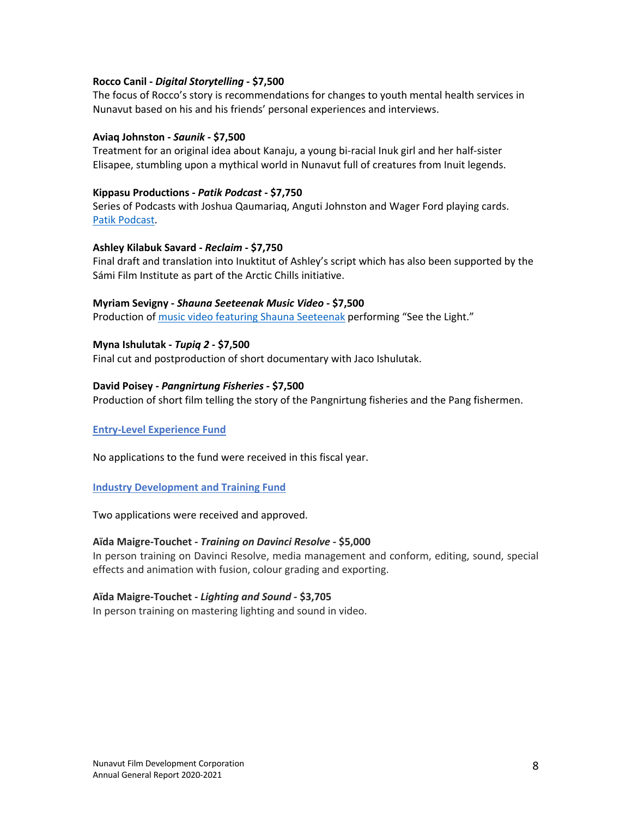## **Rocco Canil -** *Digital Storytelling* **- \$7,500**

The focus of Rocco's story is recommendations for changes to youth mental health services in Nunavut based on his and his friends' personal experiences and interviews.

#### **Aviaq Johnston -** *Saunik* **- \$7,500**

Treatment for an original idea about Kanaju, a young bi-racial Inuk girl and her half-sister Elisapee, stumbling upon a mythical world in Nunavut full of creatures from Inuit legends.

#### **Kippasu Productions -** *Patik Podcast* **- \$7,750**

Series of Podcasts with Joshua Qaumariaq, Anguti Johnston and Wager Ford playing cards. Patik Podcast.

#### **Ashley Kilabuk Savard -** *Reclaim* **- \$7,750**

Final draft and translation into Inuktitut of Ashley's script which has also been supported by the Sámi Film Institute as part of the Arctic Chills initiative.

#### **Myriam Sevigny -** *Shauna Seeteenak Music Video* **- \$7,500**

Production of music video featuring Shauna Seeteenak performing "See the Light."

#### **Myna Ishulutak -** *Tupiq 2* **- \$7,500**

Final cut and postproduction of short documentary with Jaco Ishulutak.

#### **David Poisey -** *Pangnirtung Fisheries* **- \$7,500**

Production of short film telling the story of the Pangnirtung fisheries and the Pang fishermen.

#### **Entry-Level Experience Fund**

No applications to the fund were received in this fiscal year.

## **Industry Development and Training Fund**

Two applications were received and approved.

#### **Aïda Maigre-Touchet -** *Training on Davinci Resolve* **- \$5,000**

In person training on Davinci Resolve, media management and conform, editing, sound, special effects and animation with fusion, colour grading and exporting.

#### **Aïda Maigre-Touchet -** *Lighting and Sound* **- \$3,705**

In person training on mastering lighting and sound in video.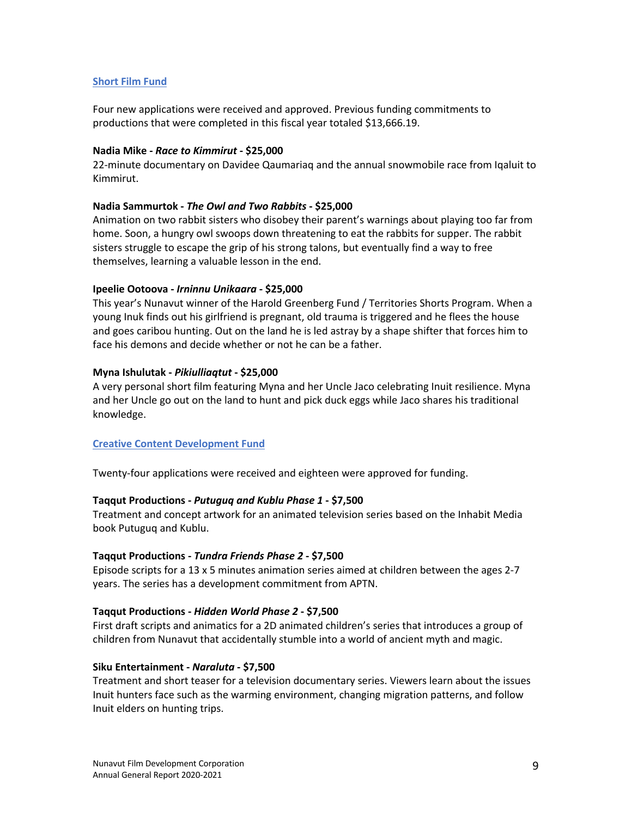## **Short Film Fund**

Four new applications were received and approved. Previous funding commitments to productions that were completed in this fiscal year totaled \$13,666.19.

#### **Nadia Mike -** *Race to Kimmirut* **- \$25,000**

22-minute documentary on Davidee Qaumariaq and the annual snowmobile race from Iqaluit to Kimmirut.

#### **Nadia Sammurtok -** *The Owl and Two Rabbits* **- \$25,000**

Animation on two rabbit sisters who disobey their parent's warnings about playing too far from home. Soon, a hungry owl swoops down threatening to eat the rabbits for supper. The rabbit sisters struggle to escape the grip of his strong talons, but eventually find a way to free themselves, learning a valuable lesson in the end.

#### **Ipeelie Ootoova -** *Irninnu Unikaara* **- \$25,000**

This year's Nunavut winner of the Harold Greenberg Fund / Territories Shorts Program. When a young Inuk finds out his girlfriend is pregnant, old trauma is triggered and he flees the house and goes caribou hunting. Out on the land he is led astray by a shape shifter that forces him to face his demons and decide whether or not he can be a father.

#### **Myna Ishulutak -** *Pikiulliaqtut* **- \$25,000**

A very personal short film featuring Myna and her Uncle Jaco celebrating Inuit resilience. Myna and her Uncle go out on the land to hunt and pick duck eggs while Jaco shares his traditional knowledge.

## **Creative Content Development Fund**

Twenty-four applications were received and eighteen were approved for funding.

## **Taqqut Productions -** *Putuguq and Kublu Phase 1* **- \$7,500**

Treatment and concept artwork for an animated television series based on the Inhabit Media book Putuguq and Kublu.

#### **Taqqut Productions -** *Tundra Friends Phase 2* **- \$7,500**

Episode scripts for a 13 x 5 minutes animation series aimed at children between the ages 2-7 years. The series has a development commitment from APTN.

#### **Taqqut Productions -** *Hidden World Phase 2* **- \$7,500**

First draft scripts and animatics for a 2D animated children's series that introduces a group of children from Nunavut that accidentally stumble into a world of ancient myth and magic.

#### **Siku Entertainment -** *Naraluta* **- \$7,500**

Treatment and short teaser for a television documentary series. Viewers learn about the issues Inuit hunters face such as the warming environment, changing migration patterns, and follow Inuit elders on hunting trips.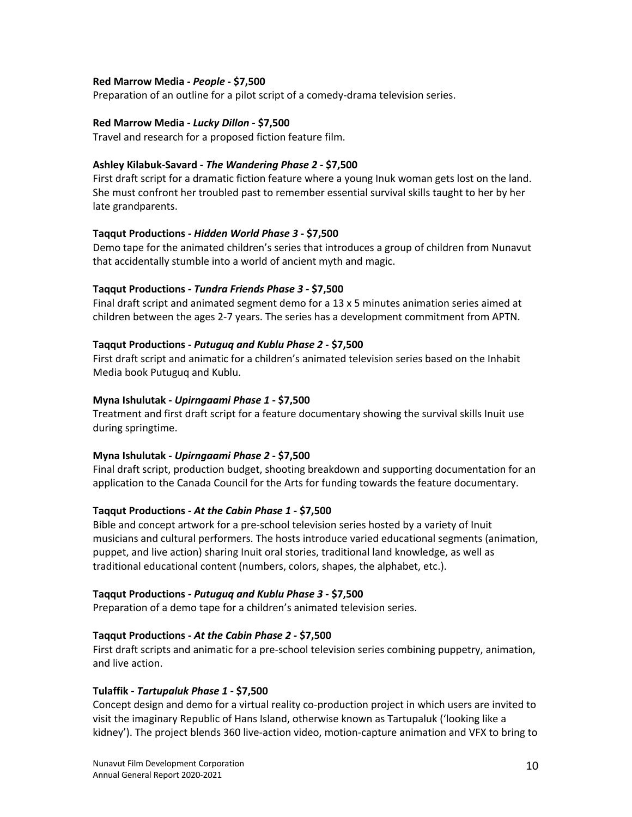## **Red Marrow Media -** *People* **- \$7,500**

Preparation of an outline for a pilot script of a comedy-drama television series.

#### **Red Marrow Media -** *Lucky Dillon* **- \$7,500**

Travel and research for a proposed fiction feature film.

## **Ashley Kilabuk-Savard -** *The Wandering Phase 2* **- \$7,500**

First draft script for a dramatic fiction feature where a young Inuk woman gets lost on the land. She must confront her troubled past to remember essential survival skills taught to her by her late grandparents.

#### **Taqqut Productions -** *Hidden World Phase 3* **- \$7,500**

Demo tape for the animated children's series that introduces a group of children from Nunavut that accidentally stumble into a world of ancient myth and magic.

#### **Taqqut Productions -** *Tundra Friends Phase 3* **- \$7,500**

Final draft script and animated segment demo for a 13 x 5 minutes animation series aimed at children between the ages 2-7 years. The series has a development commitment from APTN.

#### **Taqqut Productions -** *Putuguq and Kublu Phase 2* **- \$7,500**

First draft script and animatic for a children's animated television series based on the Inhabit Media book Putuguq and Kublu.

#### **Myna Ishulutak -** *Upirngaami Phase 1* **- \$7,500**

Treatment and first draft script for a feature documentary showing the survival skills Inuit use during springtime.

## **Myna Ishulutak -** *Upirngaami Phase 2* **- \$7,500**

Final draft script, production budget, shooting breakdown and supporting documentation for an application to the Canada Council for the Arts for funding towards the feature documentary.

## **Taqqut Productions -** *At the Cabin Phase 1* **- \$7,500**

Bible and concept artwork for a pre-school television series hosted by a variety of Inuit musicians and cultural performers. The hosts introduce varied educational segments (animation, puppet, and live action) sharing Inuit oral stories, traditional land knowledge, as well as traditional educational content (numbers, colors, shapes, the alphabet, etc.).

#### **Taqqut Productions -** *Putuguq and Kublu Phase 3* **- \$7,500**

Preparation of a demo tape for a children's animated television series.

## **Taqqut Productions -** *At the Cabin Phase 2* **- \$7,500**

First draft scripts and animatic for a pre-school television series combining puppetry, animation, and live action.

#### **Tulaffik -** *Tartupaluk Phase 1* **- \$7,500**

Concept design and demo for a virtual reality co-production project in which users are invited to visit the imaginary Republic of Hans Island, otherwise known as Tartupaluk ('looking like a kidney'). The project blends 360 live-action video, motion-capture animation and VFX to bring to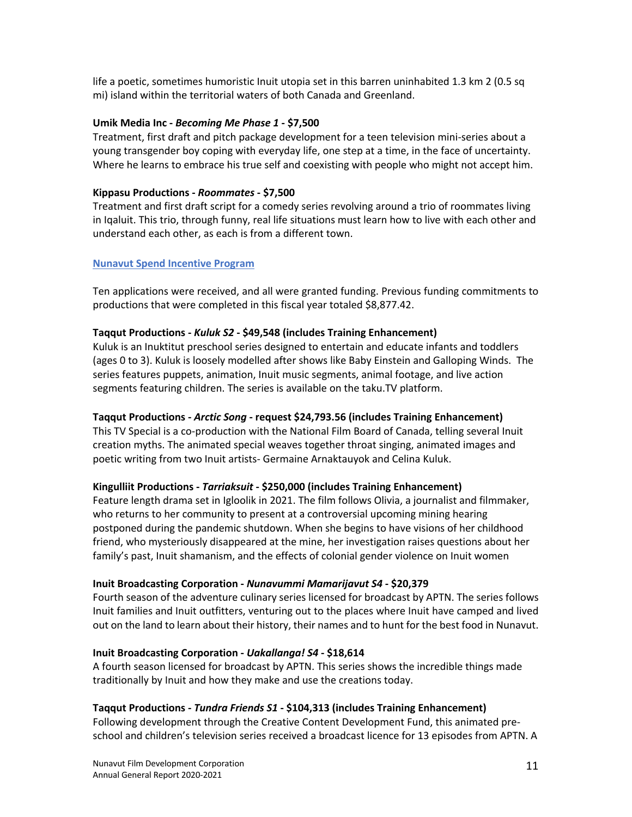life a poetic, sometimes humoristic Inuit utopia set in this barren uninhabited 1.3 km 2 (0.5 sq mi) island within the territorial waters of both Canada and Greenland.

## **Umik Media Inc -** *Becoming Me Phase 1* **- \$7,500**

Treatment, first draft and pitch package development for a teen television mini-series about a young transgender boy coping with everyday life, one step at a time, in the face of uncertainty. Where he learns to embrace his true self and coexisting with people who might not accept him.

## **Kippasu Productions -** *Roommates* **- \$7,500**

Treatment and first draft script for a comedy series revolving around a trio of roommates living in Iqaluit. This trio, through funny, real life situations must learn how to live with each other and understand each other, as each is from a different town.

#### **Nunavut Spend Incentive Program**

Ten applications were received, and all were granted funding. Previous funding commitments to productions that were completed in this fiscal year totaled \$8,877.42.

#### **Taqqut Productions -** *Kuluk S2* **- \$49,548 (includes Training Enhancement)**

Kuluk is an Inuktitut preschool series designed to entertain and educate infants and toddlers (ages 0 to 3). Kuluk is loosely modelled after shows like Baby Einstein and Galloping Winds. The series features puppets, animation, Inuit music segments, animal footage, and live action segments featuring children. The series is available on the taku.TV platform.

## **Taqqut Productions -** *Arctic Song* **- request \$24,793.56 (includes Training Enhancement)**

This TV Special is a co-production with the National Film Board of Canada, telling several Inuit creation myths. The animated special weaves together throat singing, animated images and poetic writing from two Inuit artists- Germaine Arnaktauyok and Celina Kuluk.

## **Kingulliit Productions -** *Tarriaksuit* **- \$250,000 (includes Training Enhancement)**

Feature length drama set in Igloolik in 2021. The film follows Olivia, a journalist and filmmaker, who returns to her community to present at a controversial upcoming mining hearing postponed during the pandemic shutdown. When she begins to have visions of her childhood friend, who mysteriously disappeared at the mine, her investigation raises questions about her family's past, Inuit shamanism, and the effects of colonial gender violence on Inuit women

#### **Inuit Broadcasting Corporation -** *Nunavummi Mamarijavut S4* **- \$20,379**

Fourth season of the adventure culinary series licensed for broadcast by APTN. The series follows Inuit families and Inuit outfitters, venturing out to the places where Inuit have camped and lived out on the land to learn about their history, their names and to hunt for the best food in Nunavut.

## **Inuit Broadcasting Corporation -** *Uakallanga! S4* **- \$18,614**

A fourth season licensed for broadcast by APTN. This series shows the incredible things made traditionally by Inuit and how they make and use the creations today.

## **Taqqut Productions -** *Tundra Friends S1* **- \$104,313 (includes Training Enhancement)**

Following development through the Creative Content Development Fund, this animated preschool and children's television series received a broadcast licence for 13 episodes from APTN. A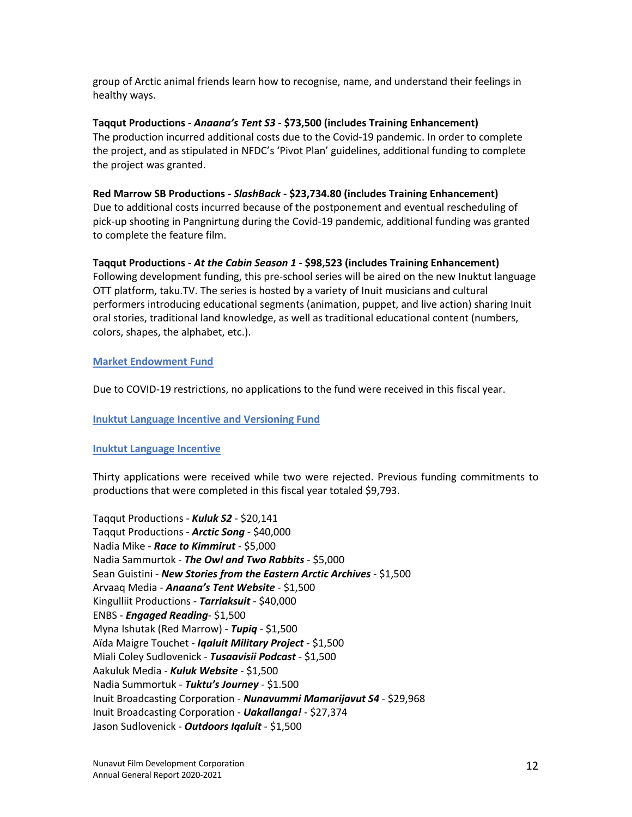group of Arctic animal friends learn how to recognise, name, and understand their feelings in healthy ways.

**Taqqut Productions -** *Anaana's Tent S3* **- \$73,500 (includes Training Enhancement)** The production incurred additional costs due to the Covid-19 pandemic. In order to complete the project, and as stipulated in NFDC's 'Pivot Plan' guidelines, additional funding to complete the project was granted.

## **Red Marrow SB Productions -** *SlashBack* **- \$23,734.80 (includes Training Enhancement)**

Due to additional costs incurred because of the postponement and eventual rescheduling of pick-up shooting in Pangnirtung during the Covid-19 pandemic, additional funding was granted to complete the feature film.

## **Taqqut Productions -** *At the Cabin Season 1* **- \$98,523 (includes Training Enhancement)**

Following development funding, this pre-school series will be aired on the new Inuktut language OTT platform, taku.TV. The series is hosted by a variety of Inuit musicians and cultural performers introducing educational segments (animation, puppet, and live action) sharing Inuit oral stories, traditional land knowledge, as well as traditional educational content (numbers, colors, shapes, the alphabet, etc.).

## **Market Endowment Fund**

Due to COVID-19 restrictions, no applications to the fund were received in this fiscal year.

## **Inuktut Language Incentive and Versioning Fund**

## **Inuktut Language Incentive**

Thirty applications were received while two were rejected. Previous funding commitments to productions that were completed in this fiscal year totaled \$9,793.

Taqqut Productions - *Kuluk S2* - \$20,141 Taqqut Productions - *Arctic Song* - \$40,000 Nadia Mike - *Race to Kimmirut* - \$5,000 Nadia Sammurtok - *The Owl and Two Rabbits* - \$5,000 Sean Guistini - *New Stories from the Eastern Arctic Archives* - \$1,500 Arvaaq Media - *Anaana's Tent Website* - \$1,500 Kingulliit Productions - *Tarriaksuit* - \$40,000 ENBS - *Engaged Reading*- \$1,500 Myna Ishutak (Red Marrow) - *Tupiq* - \$1,500 Aïda Maigre Touchet - *Iqaluit Military Project* - \$1,500 Miali Coley Sudlovenick - *Tusaavisii Podcast* - \$1,500 Aakuluk Media - *Kuluk Website* - \$1,500 Nadia Summortuk - *Tuktu's Journey* - \$1.500 Inuit Broadcasting Corporation - *Nunavummi Mamarijavut S4* - \$29,968 Inuit Broadcasting Corporation - *Uakallanga!* - \$27,374 Jason Sudlovenick - *Outdoors Iqaluit* - \$1,500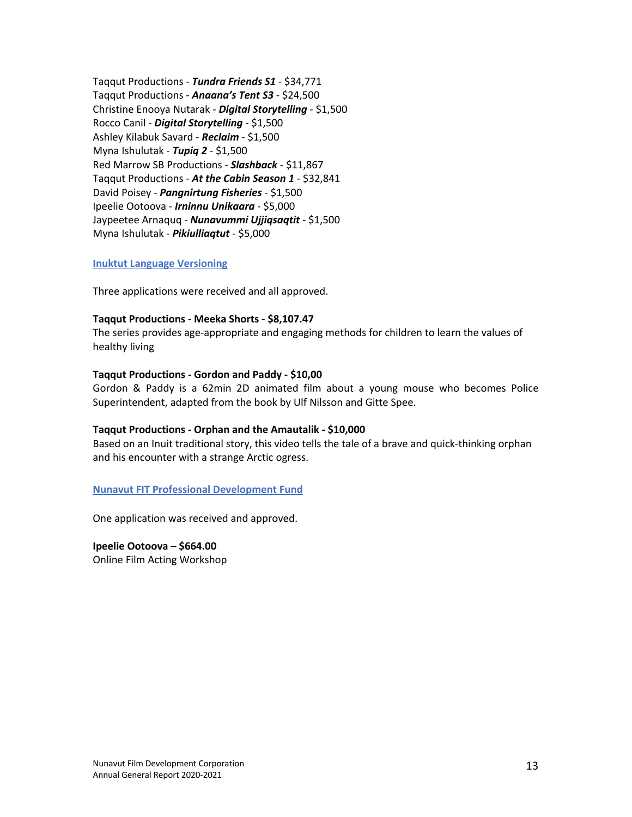Taqqut Productions - *Tundra Friends S1* - \$34,771 Taqqut Productions - *Anaana's Tent S3* - \$24,500 Christine Enooya Nutarak - *Digital Storytelling* - \$1,500 Rocco Canil - *Digital Storytelling* - \$1,500 Ashley Kilabuk Savard - *Reclaim* - \$1,500 Myna Ishulutak - *Tupiq 2* - \$1,500 Red Marrow SB Productions - *Slashback* - \$11,867 Taqqut Productions - *At the Cabin Season 1* - \$32,841 David Poisey - *Pangnirtung Fisheries* - \$1,500 Ipeelie Ootoova - *Irninnu Unikaara* - \$5,000 Jaypeetee Arnaquq - *Nunavummi Ujjiqsaqtit* - \$1,500 Myna Ishulutak - *Pikiulliaqtut* - \$5,000

#### **Inuktut Language Versioning**

Three applications were received and all approved.

#### **Taqqut Productions - Meeka Shorts - \$8,107.47**

The series provides age-appropriate and engaging methods for children to learn the values of healthy living

#### **Taqqut Productions - Gordon and Paddy - \$10,00**

Gordon & Paddy is a 62min 2D animated film about a young mouse who becomes Police Superintendent, adapted from the book by Ulf Nilsson and Gitte Spee.

#### **Taqqut Productions - Orphan and the Amautalik - \$10,000**

Based on an Inuit traditional story, this video tells the tale of a brave and quick-thinking orphan and his encounter with a strange Arctic ogress.

#### **Nunavut FIT Professional Development Fund**

One application was received and approved.

**Ipeelie Ootoova – \$664.00** Online Film Acting Workshop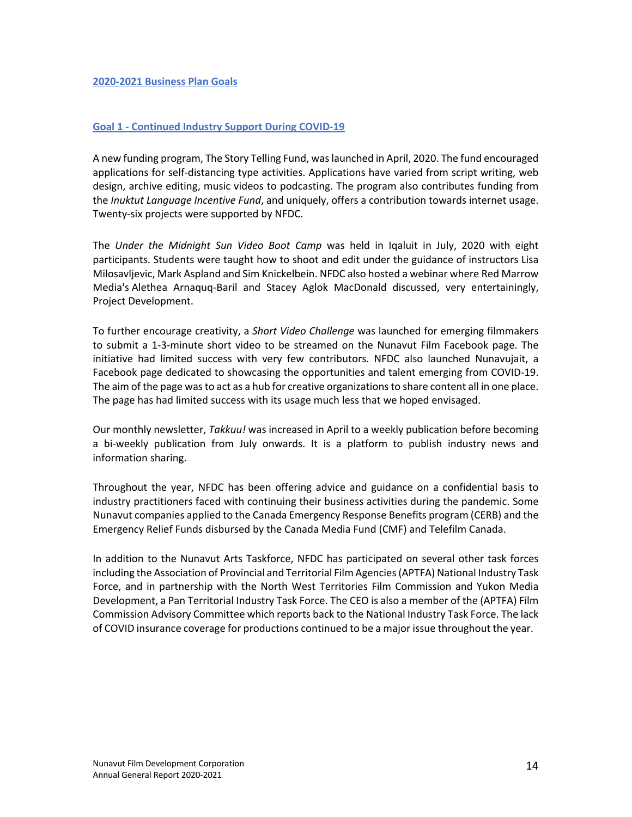#### **Goal 1 - Continued Industry Support During COVID-19**

A new funding program, The Story Telling Fund, was launched in April, 2020. The fund encouraged applications for self-distancing type activities. Applications have varied from script writing, web design, archive editing, music videos to podcasting. The program also contributes funding from the *Inuktut Language Incentive Fund*, and uniquely, offers a contribution towards internet usage. Twenty-six projects were supported by NFDC.

The *Under the Midnight Sun Video Boot Camp* was held in Iqaluit in July, 2020 with eight participants. Students were taught how to shoot and edit under the guidance of instructors Lisa Milosavljevic, Mark Aspland and Sim Knickelbein. NFDC also hosted a webinar where Red Marrow Media's Alethea Arnaquq-Baril and Stacey Aglok MacDonald discussed, very entertainingly, Project Development.

To further encourage creativity, a *Short Video Challenge* was launched for emerging filmmakers to submit a 1-3-minute short video to be streamed on the Nunavut Film Facebook page. The initiative had limited success with very few contributors. NFDC also launched Nunavujait, a Facebook page dedicated to showcasing the opportunities and talent emerging from COVID-19. The aim of the page was to act as a hub for creative organizations to share content all in one place. The page has had limited success with its usage much less that we hoped envisaged.

Our monthly newsletter, *Takkuu!* was increased in April to a weekly publication before becoming a bi-weekly publication from July onwards. It is a platform to publish industry news and information sharing.

Throughout the year, NFDC has been offering advice and guidance on a confidential basis to industry practitioners faced with continuing their business activities during the pandemic. Some Nunavut companies applied to the Canada Emergency Response Benefits program (CERB) and the Emergency Relief Funds disbursed by the Canada Media Fund (CMF) and Telefilm Canada.

In addition to the Nunavut Arts Taskforce, NFDC has participated on several other task forces including the Association of Provincial and Territorial Film Agencies(APTFA) National Industry Task Force, and in partnership with the North West Territories Film Commission and Yukon Media Development, a Pan Territorial Industry Task Force. The CEO is also a member of the (APTFA) Film Commission Advisory Committee which reports back to the National Industry Task Force. The lack of COVID insurance coverage for productions continued to be a major issue throughout the year.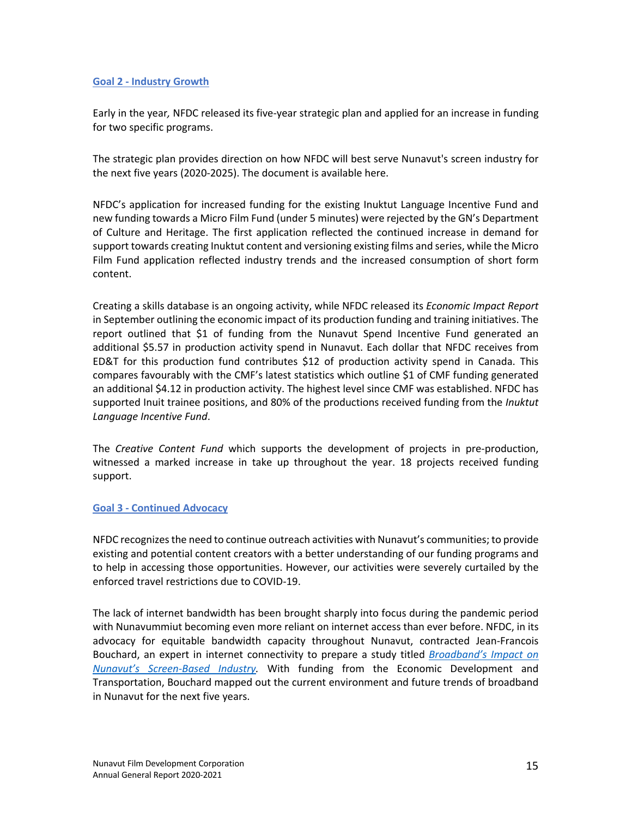## **Goal 2 - Industry Growth**

Early in the year*,* NFDC released its five-year strategic plan and applied for an increase in funding for two specific programs.

The strategic plan provides direction on how NFDC will best serve Nunavut's screen industry for the next five years (2020-2025). The document is available here.

NFDC's application for increased funding for the existing Inuktut Language Incentive Fund and new funding towards a Micro Film Fund (under 5 minutes) were rejected by the GN's Department of Culture and Heritage. The first application reflected the continued increase in demand for support towards creating Inuktut content and versioning existing films and series, while the Micro Film Fund application reflected industry trends and the increased consumption of short form content.

Creating a skills database is an ongoing activity, while NFDC released its *Economic Impact Report* in September outlining the economic impact of its production funding and training initiatives. The report outlined that \$1 of funding from the Nunavut Spend Incentive Fund generated an additional \$5.57 in production activity spend in Nunavut. Each dollar that NFDC receives from ED&T for this production fund contributes \$12 of production activity spend in Canada. This compares favourably with the CMF's latest statistics which outline \$1 of CMF funding generated an additional \$4.12 in production activity. The highest level since CMF was established. NFDC has supported Inuit trainee positions, and 80% of the productions received funding from the *Inuktut Language Incentive Fund*.

The *Creative Content Fund* which supports the development of projects in pre-production, witnessed a marked increase in take up throughout the year. 18 projects received funding support.

## **Goal 3 - Continued Advocacy**

NFDC recognizes the need to continue outreach activities with Nunavut's communities; to provide existing and potential content creators with a better understanding of our funding programs and to help in accessing those opportunities. However, our activities were severely curtailed by the enforced travel restrictions due to COVID-19.

The lack of internet bandwidth has been brought sharply into focus during the pandemic period with Nunavummiut becoming even more reliant on internet access than ever before. NFDC, in its advocacy for equitable bandwidth capacity throughout Nunavut, contracted Jean-Francois Bouchard, an expert in internet connectivity to prepare a study titled *Broadband's Impact on Nunavut's Screen-Based Industry.* With funding from the Economic Development and Transportation, Bouchard mapped out the current environment and future trends of broadband in Nunavut for the next five years.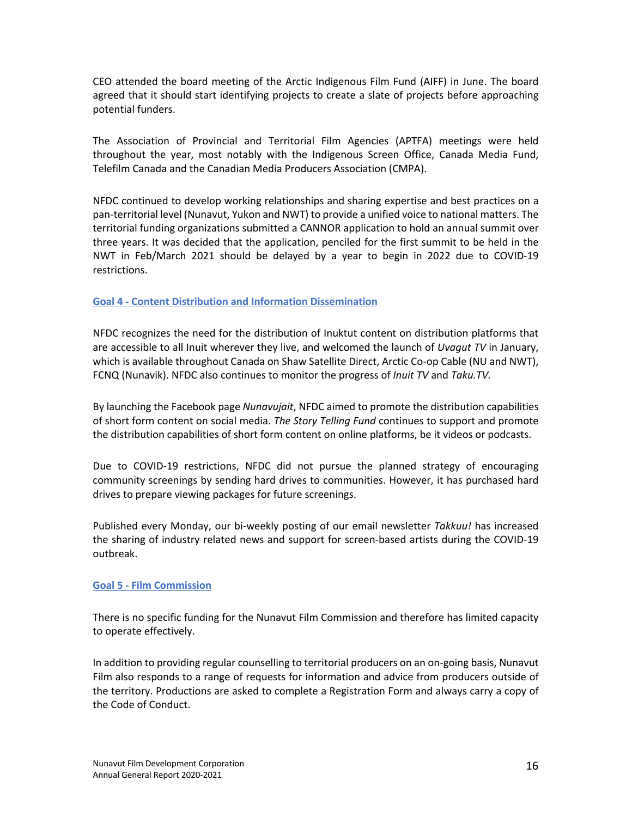CEO attended the board meeting of the Arctic Indigenous Film Fund (AIFF) in June. The board agreed that it should start identifying projects to create a slate of projects before approaching potential funders.

The Association of Provincial and Territorial Film Agencies (APTFA) meetings were held throughout the year, most notably with the Indigenous Screen Office, Canada Media Fund, Telefilm Canada and the Canadian Media Producers Association (CMPA).

NFDC continued to develop working relationships and sharing expertise and best practices on a pan-territorial level (Nunavut, Yukon and NWT) to provide a unified voice to national matters. The territorial funding organizations submitted a CANNOR application to hold an annual summit over three years. It was decided that the application, penciled for the first summit to be held in the NWT in Feb/March 2021 should be delayed by a year to begin in 2022 due to COVID-19 restrictions.

## **Goal 4 - Content Distribution and Information Dissemination**

NFDC recognizes the need for the distribution of Inuktut content on distribution platforms that are accessible to all Inuit wherever they live, and welcomed the launch of *Uvagut TV* in January, which is available throughout Canada on Shaw Satellite Direct, Arctic Co-op Cable (NU and NWT), FCNQ (Nunavik). NFDC also continues to monitor the progress of *Inuit TV* and *Taku.TV.*

By launching the Facebook page *Nunavujait*, NFDC aimed to promote the distribution capabilities of short form content on social media. *The Story Telling Fund* continues to support and promote the distribution capabilities of short form content on online platforms, be it videos or podcasts.

Due to COVID-19 restrictions, NFDC did not pursue the planned strategy of encouraging community screenings by sending hard drives to communities. However, it has purchased hard drives to prepare viewing packages for future screenings.

Published every Monday, our bi-weekly posting of our email newsletter *Takkuu!* has increased the sharing of industry related news and support for screen-based artists during the COVID-19 outbreak.

## **Goal 5 - Film Commission**

There is no specific funding for the Nunavut Film Commission and therefore has limited capacity to operate effectively.

In addition to providing regular counselling to territorial producers on an on-going basis, Nunavut Film also responds to a range of requests for information and advice from producers outside of the territory. Productions are asked to complete a Registration Form and always carry a copy of the Code of Conduct.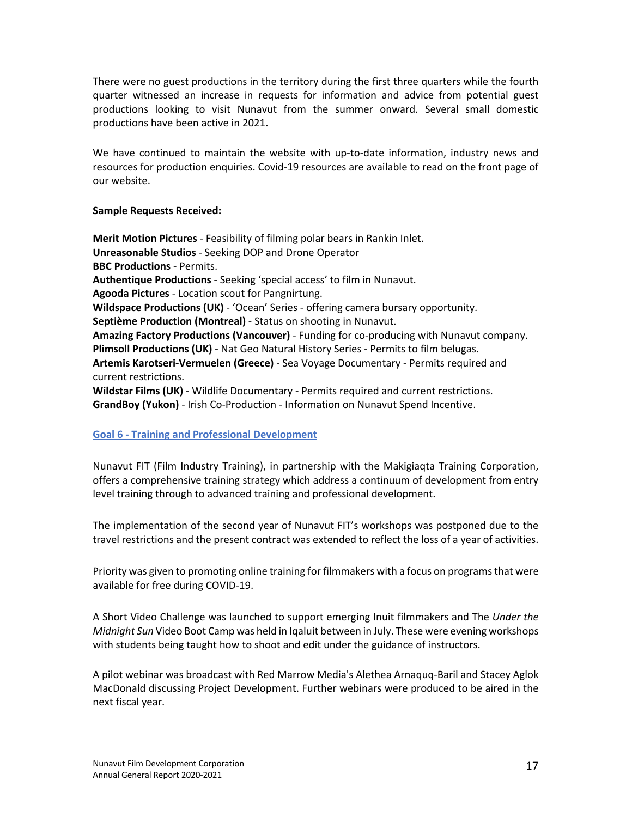There were no guest productions in the territory during the first three quarters while the fourth quarter witnessed an increase in requests for information and advice from potential guest productions looking to visit Nunavut from the summer onward. Several small domestic productions have been active in 2021.

We have continued to maintain the website with up-to-date information, industry news and resources for production enquiries. Covid-19 resources are available to read on the front page of our website.

**Sample Requests Received:**

**Merit Motion Pictures** - Feasibility of filming polar bears in Rankin Inlet. **Unreasonable Studios** - Seeking DOP and Drone Operator **BBC Productions** - Permits. **Authentique Productions** - Seeking 'special access' to film in Nunavut. **Agooda Pictures** - Location scout for Pangnirtung. **Wildspace Productions (UK)** - 'Ocean' Series - offering camera bursary opportunity. **Septième Production (Montreal)** - Status on shooting in Nunavut. **Amazing Factory Productions (Vancouver)** - Funding for co-producing with Nunavut company. **Plimsoll Productions (UK)** - Nat Geo Natural History Series - Permits to film belugas. **Artemis Karotseri-Vermuelen (Greece)** - Sea Voyage Documentary - Permits required and current restrictions. **Wildstar Films (UK)** - Wildlife Documentary - Permits required and current restrictions. **GrandBoy (Yukon)** - Irish Co-Production - Information on Nunavut Spend Incentive.

# **Goal 6 - Training and Professional Development**

Nunavut FIT (Film Industry Training), in partnership with the Makigiaqta Training Corporation, offers a comprehensive training strategy which address a continuum of development from entry level training through to advanced training and professional development.

The implementation of the second year of Nunavut FIT's workshops was postponed due to the travel restrictions and the present contract was extended to reflect the loss of a year of activities.

Priority was given to promoting online training for filmmakers with a focus on programs that were available for free during COVID-19.

A Short Video Challenge was launched to support emerging Inuit filmmakers and The *Under the Midnight Sun* Video Boot Camp was held in Iqaluit between in July. These were evening workshops with students being taught how to shoot and edit under the guidance of instructors.

A pilot webinar was broadcast with Red Marrow Media's Alethea Arnaquq-Baril and Stacey Aglok MacDonald discussing Project Development. Further webinars were produced to be aired in the next fiscal year.